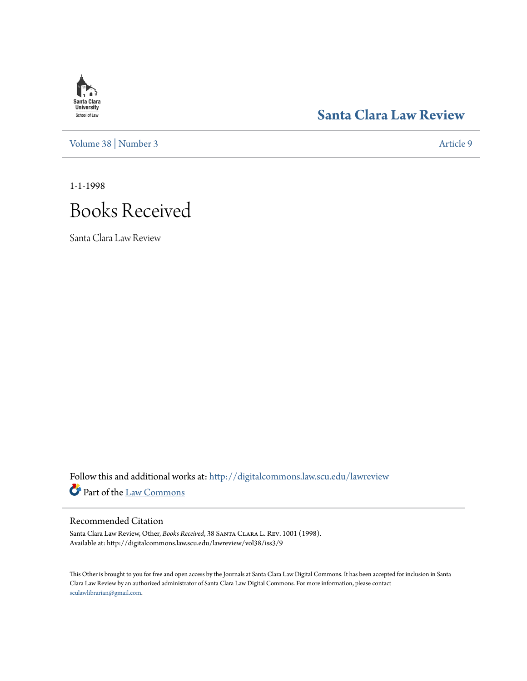# **Santa Clara**<br>**University** School of Law

# **[Santa Clara Law Review](http://digitalcommons.law.scu.edu/lawreview?utm_source=digitalcommons.law.scu.edu%2Flawreview%2Fvol38%2Fiss3%2F9&utm_medium=PDF&utm_campaign=PDFCoverPages)**

[Volume 38](http://digitalcommons.law.scu.edu/lawreview/vol38?utm_source=digitalcommons.law.scu.edu%2Flawreview%2Fvol38%2Fiss3%2F9&utm_medium=PDF&utm_campaign=PDFCoverPages) | [Number 3](http://digitalcommons.law.scu.edu/lawreview/vol38/iss3?utm_source=digitalcommons.law.scu.edu%2Flawreview%2Fvol38%2Fiss3%2F9&utm_medium=PDF&utm_campaign=PDFCoverPages) [Article 9](http://digitalcommons.law.scu.edu/lawreview/vol38/iss3/9?utm_source=digitalcommons.law.scu.edu%2Flawreview%2Fvol38%2Fiss3%2F9&utm_medium=PDF&utm_campaign=PDFCoverPages)

1-1-1998



Santa Clara Law Review

Follow this and additional works at: [http://digitalcommons.law.scu.edu/lawreview](http://digitalcommons.law.scu.edu/lawreview?utm_source=digitalcommons.law.scu.edu%2Flawreview%2Fvol38%2Fiss3%2F9&utm_medium=PDF&utm_campaign=PDFCoverPages) Part of the [Law Commons](http://network.bepress.com/hgg/discipline/578?utm_source=digitalcommons.law.scu.edu%2Flawreview%2Fvol38%2Fiss3%2F9&utm_medium=PDF&utm_campaign=PDFCoverPages)

## Recommended Citation

Santa Clara Law Review, Other, *Books Received*, 38 Santa Clara L. Rev. 1001 (1998). Available at: http://digitalcommons.law.scu.edu/lawreview/vol38/iss3/9

This Other is brought to you for free and open access by the Journals at Santa Clara Law Digital Commons. It has been accepted for inclusion in Santa Clara Law Review by an authorized administrator of Santa Clara Law Digital Commons. For more information, please contact [sculawlibrarian@gmail.com](mailto:sculawlibrarian@gmail.com).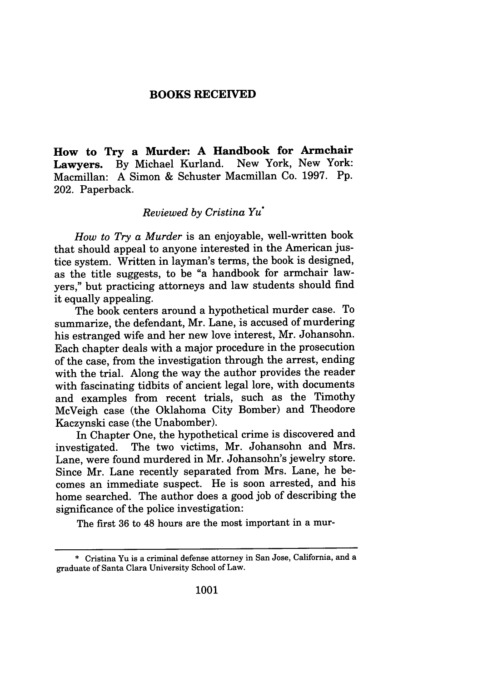### **BOOKS RECEIVED**

**How to Try a Murder: A Handbook for Armchair Lawyers. By** Michael Kurland. New York, New York: Macmillan: **A** Simon **&** Schuster Macmillan Co. **1997. Pp.** 202. Paperback.

### *Reviewed by Cristina* Yu\*

*How to Try a Murder* is an enjoyable, well-written book that should appeal to anyone interested in the American justice system. Written in layman's terms, the book is designed, as the title suggests, to be "a handbook for armchair lawyers," but practicing attorneys and law students should find it equally appealing.

The book centers around a hypothetical murder case. To summarize, the defendant, Mr. Lane, is accused of murdering his estranged wife and her new love interest, Mr. Johansohn. Each chapter deals with a major procedure in the prosecution of the case, from the investigation through the arrest, ending with the trial. Along the way the author provides the reader with fascinating tidbits of ancient legal lore, with documents and examples from recent trials, such as the Timothy McVeigh case (the Oklahoma City Bomber) and Theodore Kaczynski case (the Unabomber).

In Chapter One, the hypothetical crime is discovered and investigated. The two victims, Mr. Johansohn and Mrs. Lane, were found murdered in Mr. Johansohn's jewelry store. Since Mr. Lane recently separated from Mrs. Lane, he becomes an immediate suspect. He is soon arrested, and his home searched. The author does a good job of describing the significance of the police investigation:

The first 36 to 48 hours are the most important in a mur-

<sup>\*</sup> Cristina Yu is a criminal defense attorney in San Jose, California, and a graduate of Santa Clara University School of Law.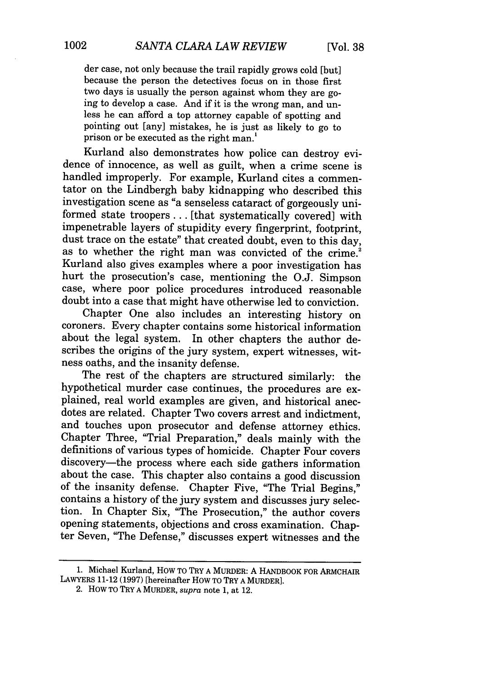der case, not only because the trail rapidly grows cold [but] because the person the detectives focus on in those first two days is usually the person against whom they are going to develop a case. And if it is the wrong man, and unless he can afford a top attorney capable of spotting and pointing out [any] mistakes, he is just as likely to go to prison or be executed as the right man.'

Kurland also demonstrates how police can destroy evidence of innocence, as well as guilt, when a crime scene is handled improperly. For example, Kurland cites a commentator on the Lindbergh baby kidnapping who described this investigation scene as "a senseless cataract of gorgeously uniformed state troopers ... [that systematically covered] with impenetrable layers of stupidity every fingerprint, footprint, dust trace on the estate" that created doubt, even to this day, as to whether the right man was convicted of the crime.<sup>2</sup> Kurland also gives examples where a poor investigation has hurt the prosecution's case, mentioning the O.J. Simpson case, where poor police procedures introduced reasonable doubt into a case that might have otherwise led to conviction.

Chapter One also includes an interesting history on coroners. Every chapter contains some historical information about the legal system. In other chapters the author describes the origins of the jury system, expert witnesses, witness oaths, and the insanity defense.

The rest of the chapters are structured similarly: the hypothetical murder case continues, the procedures are explained, real world examples are given, and historical anecdotes are related. Chapter Two covers arrest and indictment, and touches upon prosecutor and defense attorney ethics. Chapter Three, "Trial Preparation," deals mainly with the definitions of various types of homicide. Chapter Four covers discovery-the process where each side gathers information about the case. This chapter also contains a good discussion of the insanity defense. Chapter Five, "The Trial Begins," contains a history of the jury system and discusses jury selection. In Chapter Six, "The Prosecution," the author covers opening statements, objections and cross examination. Chapter Seven, "The Defense," discusses expert witnesses and the

<sup>1.</sup> Michael Kurland, HOW TO TRY A MURDER: A HANDBOOK FOR ARMCHAIR LAWYERS 11-12 (1997) [hereinafter HOW TO TRY A MURDER].

<sup>2.</sup> HOW TO TRY **A** MURDER, *supra* note 1, at 12.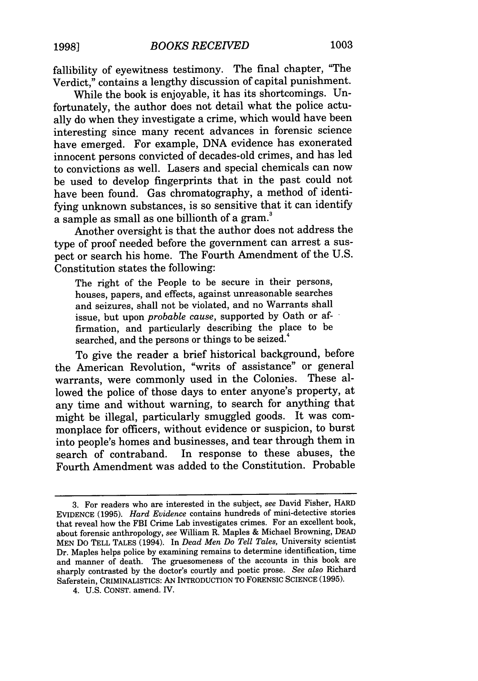fallibility of eyewitness testimony. The final chapter, "The Verdict," contains a lengthy discussion of capital punishment.

While the book is enjoyable, it has its shortcomings. Unfortunately, the author does not detail what the police actually do when they investigate a crime, which would have been interesting since many recent advances in forensic science have emerged. For example, DNA evidence has exonerated innocent persons convicted of decades-old crimes, and has led to convictions as well. Lasers and special chemicals can now be used to develop fingerprints that in the past could not have been found. Gas chromatography, a method of identifying unknown substances, is so sensitive that it can identify a sample as small as one billionth of a gram.<sup>3</sup>

Another oversight is that the author does not address the type of proof needed before the government can arrest a suspect or search his home. The Fourth Amendment of the U.S. Constitution states the following:

The right of the People to be secure in their persons, houses, papers, and effects, against unreasonable searches and seizures, shall not be violated, and no Warrants shall issue, but upon *probable cause,* supported by Oath or affirmation, and particularly describing the place to be searched, and the persons or things to be seized.<sup>4</sup>

To give the reader a brief historical background, before the American Revolution, "writs of assistance" or general warrants, were commonly used in the Colonies. These allowed the police of those days to enter anyone's property, at any time and without warning, to search for anything that might be illegal, particularly smuggled goods. It was commonplace for officers, without evidence or suspicion, to burst into people's homes and businesses, and tear through them in search of contraband. In response to these abuses, the Fourth Amendment was added to the Constitution. Probable

<sup>3.</sup> For readers who are interested in the subject, *see* David Fisher, HARD EVIDENCE **(1995).** *Hard Evidence* contains hundreds of mini-detective stories that reveal how the FBI Crime Lab investigates crimes. For an excellent book, about forensic anthropology, *see* William R. Maples & Michael Browning, DEAD MEN DO **TELL TALES** (1994). In *Dead Men Do Tell Tales,* University scientist Dr. Maples helps police by examining remains to determine identification, time and manner of death. The gruesomeness of the accounts in this book are sharply contrasted by the doctor's courtly and poetic prose. *See also* Richard Saferstein, CRIMINALISTICS: AN INTRODUCTION TO FORENSIC SCIENCE (1995).

<sup>4.</sup> U.S. CONST. amend. IV.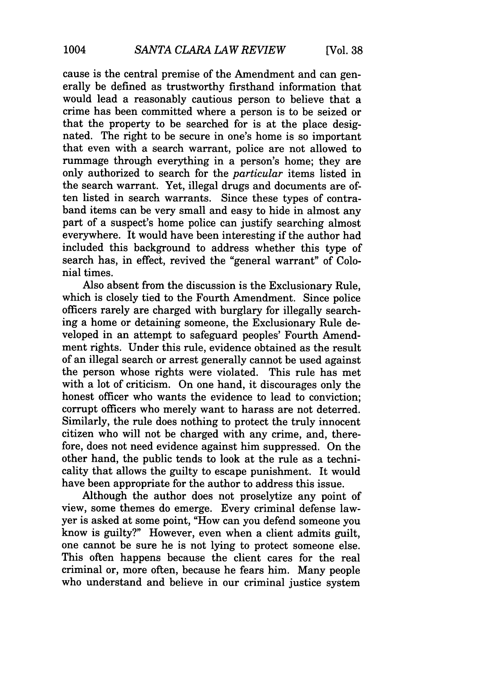cause is the central premise of the Amendment and can generally be defined as trustworthy firsthand information that would lead a reasonably cautious person to believe that a crime has been committed where a person is to be seized or that the property to be searched for is at the place designated. The right to be secure in one's home is so important that even with a search warrant, police are not allowed to rummage through everything in a person's home; they are only authorized to search for the *particular* items listed in the search warrant. Yet, illegal drugs and documents are often listed in search warrants. Since these types of contraband items can be very small and easy to hide in almost any part of a suspect's home police can justify searching almost everywhere. It would have been interesting if the author had included this background to address whether this type of search has, in effect, revived the "general warrant" of Colonial times.

Also absent from the discussion is the Exclusionary Rule, which is closely tied to the Fourth Amendment. Since police officers rarely are charged with burglary for illegally searching a home or detaining someone, the Exclusionary Rule developed in an attempt to safeguard peoples' Fourth Amendment rights. Under this rule, evidence obtained as the result of an illegal search or arrest generally cannot be used against the person whose rights were violated. This rule has met with a lot of criticism. On one hand, it discourages only the honest officer who wants the evidence to lead to conviction: corrupt officers who merely want to harass are not deterred. Similarly, the rule does nothing to protect the truly innocent citizen who will not be charged with any crime, and, therefore, does not need evidence against him suppressed. On the other hand, the public tends to look at the rule as a technicality that allows the guilty to escape punishment. It would have been appropriate for the author to address this issue.

Although the author does not proselytize any point of view, some themes do emerge. Every criminal defense lawyer is asked at some point, "How can you defend someone you know is guilty?" However, even when a client admits guilt, one cannot be sure he is not lying to protect someone else. This often happens because the client cares for the real criminal or, more often, because he fears him. Many people who understand and believe in our criminal justice system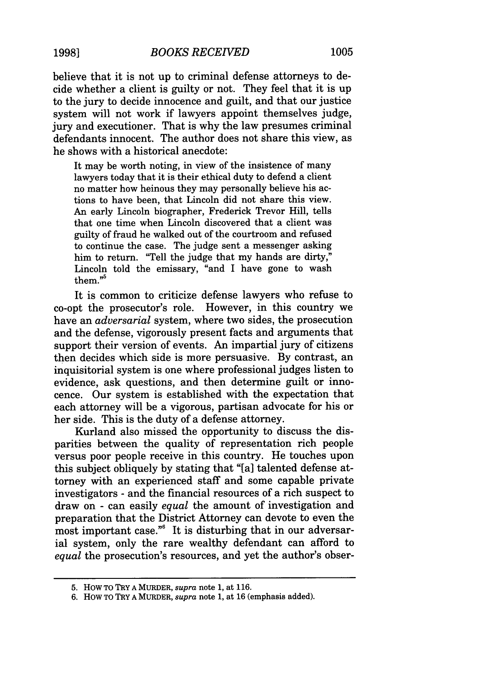believe that it is not up to criminal defense attorneys to decide whether a client is guilty or not. They feel that it is up to the jury to decide innocence and guilt, and that our justice system will not work if lawyers appoint themselves judge, jury and executioner. That is why the law presumes criminal defendants innocent. The author does not share this view, as he shows with a historical anecdote:

It may be worth noting, in view of the insistence of many lawyers today that it is their ethical duty to defend a client no matter how heinous they may personally believe his actions to have been, that Lincoln did not share this view. An early Lincoln biographer, Frederick Trevor Hill, tells that one time when Lincoln discovered that a client was guilty of fraud he walked out of the courtroom and refused to continue the case. The judge sent a messenger asking him to return. "Tell the judge that my hands are dirty," Lincoln told the emissary, "and I have gone to wash them $^{55}$ 

It is common to criticize defense lawyers who refuse to co-opt the prosecutor's role. However, in this country we have an *adversarial* system, where two sides, the prosecution and the defense, vigorously present facts and arguments that support their version of events. An impartial jury of citizens then decides which side is more persuasive. By contrast, an inquisitorial system is one where professional judges listen to evidence, ask questions, and then determine guilt or innocence. Our system is established with the expectation that each attorney will be a vigorous, partisan advocate for his or her side. This is the duty of a defense attorney.

Kurland also missed the opportunity to discuss the disparities between the quality of representation rich people versus poor people receive in this country. He touches upon this subject obliquely by stating that "[a] talented defense attorney with an experienced staff and some capable private investigators - and the financial resources of a rich suspect to draw on - can easily *equal* the amount of investigation and preparation that the District Attorney can devote to even the most important case."6 It is disturbing that in our adversarial system, only the rare wealthy defendant can afford to *equal* the prosecution's resources, and yet the author's obser-

<sup>5.</sup> HOW TO TRY A MURDER, *supra* note 1, at 116.

<sup>6.</sup> How TO TRY A MURDER, *supra* note 1, at 16 (emphasis added).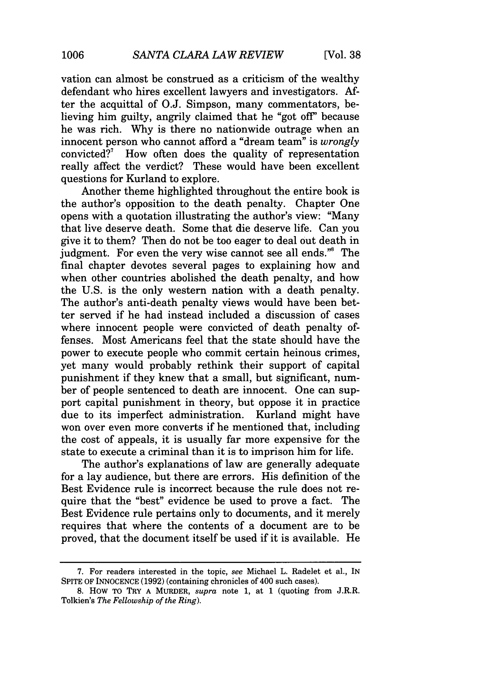vation can almost be construed as a criticism of the wealthy defendant who hires excellent lawyers and investigators. After the acquittal of O.J. Simpson, many commentators, believing him guilty, angrily claimed that he "got off' because he was rich. Why is there no nationwide outrage when an innocent person who cannot afford a "dream team" is *wrongly* convicted?<sup>7</sup> How often does the quality of representation really affect the verdict? These would have been excellent questions for Kurland to explore.

Another theme highlighted throughout the entire book is the author's opposition to the death penalty. Chapter One opens with a quotation illustrating the author's view: "Many that live deserve death. Some that die deserve life. Can you give it to them? Then do not be too eager to deal out death in judgment. For even the very wise cannot see all ends."8 The final chapter devotes several pages to explaining how and when other countries abolished the death penalty, and how the U.S. is the only western nation with a death penalty. The author's anti-death penalty views would have been better served if he had instead included a discussion of cases where innocent people were convicted of death penalty offenses. Most Americans feel that the state should have the power to execute people who commit certain heinous crimes, yet many would probably rethink their support of capital punishment if they knew that a small, but significant, number of people sentenced to death are innocent. One can support capital punishment in theory, but oppose it in practice due to its imperfect administration. Kurland might have won over even more converts if he mentioned that, including the cost of appeals, it is usually far more expensive for the state to execute a criminal than it is to imprison him for life.

The author's explanations of law are generally adequate for a lay audience, but there are errors. His definition of the Best Evidence rule is incorrect because the rule does not require that the "best" evidence be used to prove a fact. The Best Evidence rule pertains only to documents, and it merely requires that where the contents of a document are to be proved, that the document itself be used if it is available. He

<sup>7.</sup> For readers interested in the topic, *see* Michael L. Radelet et al., IN SPITE OF INNOCENCE (1992) (containing chronicles of 400 such cases).

<sup>8.</sup> HOW TO TRY A MURDER, *supra* note 1, at 1 (quoting from J.R.R. Tolkien's *The Fellowship of the Ring).*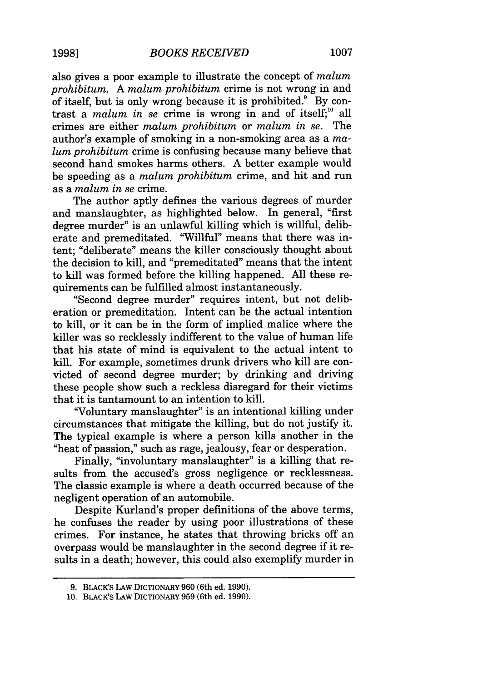also gives a poor example to illustrate the concept of *malum prohibitum.* A *malum prohibitum* crime is not wrong in and of itself, but is only wrong because it is prohibited. $9^{\circ}$  By contrast a *malum in se* crime is wrong in and of itself;<sup>10</sup> all crimes are either *malum prohibitum* or *malum in se.* The author's example of smoking in a non-smoking area as a *malum prohibitum* crime is confusing because many believe that second hand smokes harms others. A better example would be speeding as a *malum prohibitum* crime, and hit and run as a *malum in se* crime.

The author aptly defines the various degrees of murder and manslaughter, as highlighted below. In general, "first degree murder" is an unlawful killing which is willful, deliberate and premeditated. "Willful" means that there was intent; "deliberate" means the killer consciously thought about the decision to kill, and "premeditated" means that the intent to kill was formed before the killing happened. All these requirements can be fulfilled almost instantaneously.

"Second degree murder" requires intent, but not deliberation or premeditation. Intent can be the actual intention to kill, or it can be in the form of implied malice where the killer was so recklessly indifferent to the value of human life that his state of mind is equivalent to the actual intent to kill. For example, sometimes drunk drivers who kill are convicted of second degree murder; by drinking and driving these people show such a reckless disregard for their victims that it is tantamount to an intention to kill.

"Voluntary manslaughter" is an intentional killing under circumstances that mitigate the killing, but do not justify it. The typical example is where a person kills another in the "heat of passion," such as rage, jealousy, fear or desperation.

Finally, "involuntary manslaughter" is a killing that results from the accused's gross negligence or recklessness. The classic example is where a death occurred because of the negligent operation of an automobile.

Despite Kurland's proper definitions of the above terms, he confuses the reader by using poor illustrations of these crimes. For instance, he states that throwing bricks off an overpass would be manslaughter in the second degree if it results in a death; however, this could also exemplify murder in

<sup>9.</sup> BLAcK's LAW DICTIONARY 960 (6th ed. 1990).

<sup>10.</sup> BLACK'S LAW DICTIONARY 959 (6th ed. 1990).